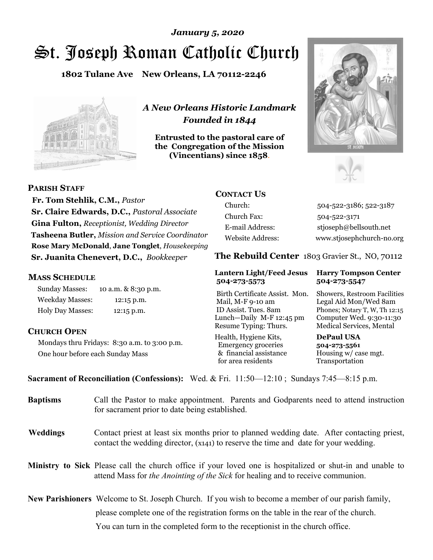# St. Joseph Roman Catholic Church *January 5, 2020*

**1802 Tulane Ave New Orleans, LA 70112-2246**



*A New Orleans Historic Landmark Founded in 1844* 

**Entrusted to the pastoral care of the Congregation of the Mission (Vincentians) since 1858**.





 **Fr. Tom Stehlik, C.M.,** *Pastor* **Sr. Claire Edwards, D.C.,** *Pastoral Associate* 

**PARISH STAFF**

**Gina Fulton,** *Receptionist, Wedding Director* **Tasheena Butler,** *Mission and Service Coordinator* **Rose Mary McDonald**, **Jane Tonglet**, *Housekeeping* **Sr. Juanita Chenevert, D.C.,** *Bookkeeper* 

### **MASS SCHEDULE**

Sunday Masses: 10 a.m. & 8:30 p.m. Weekday Masses: 12:15 p.m. Holy Day Masses: 12:15 p.m.

## **CHURCH OPEN**

Mondays thru Fridays: 8:30 a.m. to 3:00 p.m. One hour before each Sunday Mass

# **CONTACT US**

Church: 504-522-3186; 522-3187 Church Fax: 504-522-3171 E-mail Address: stjoseph@bellsouth.net Website Address: www.stjosephchurch-no.org

**The Rebuild Center** 1803 Gravier St., NO, 70112

#### **Lantern Light/Feed Jesus Harry Tompson Center 504-273-5573 504-273-5547**

Birth Certificate Assist. Mon. Showers, Restroom Facilities Mail, M-F 9-10 am Legal Aid Mon/Wed 8am ID Assist. Tues. 8am Phones; Notary T, W, Th 12:15 Lunch—Daily M-F 12:45 pm Computer Wed. 9:30-11:30 Resume Typing: Thurs. Medical Services, Mental

Health, Hygiene Kits, **DePaul USA**  Emergency groceries **504-273-5561** & financial assistance Housing w/ case mgt.<br>for area residents Transportation for area residents

**Sacrament of Reconciliation (Confessions):** Wed. & Fri. 11:50—12:10 ; Sundays 7:45—8:15 p.m.

| <b>Baptisms</b> | Call the Pastor to make appointment. Parents and Godparents need to attend instruction<br>for sacrament prior to date being established.                                                            |  |
|-----------------|-----------------------------------------------------------------------------------------------------------------------------------------------------------------------------------------------------|--|
| <b>Weddings</b> | Contact priest at least six months prior to planned wedding date. After contacting priest,<br>contact the wedding director, (x141) to reserve the time and date for your wedding.                   |  |
|                 | <b>Ministry to Sick</b> Please call the church office if your loved one is hospitalized or shut-in and unable to<br>attend Mass for the Anointing of the Sick for healing and to receive communion. |  |
|                 | New Parishioners Welcome to St. Joseph Church. If you wish to become a member of our parish family,                                                                                                 |  |
|                 | please complete one of the registration forms on the table in the rear of the church.                                                                                                               |  |
|                 | You can turn in the completed form to the reception is the church office.                                                                                                                           |  |